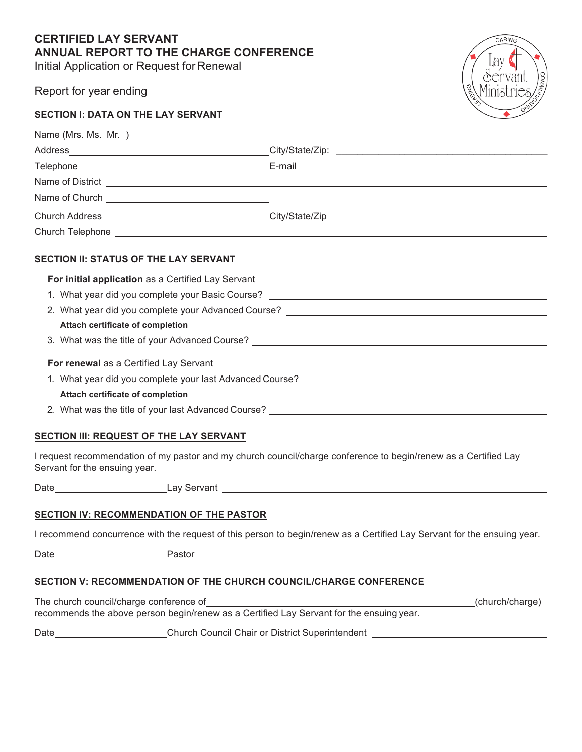# **CERTIFIED LAY SERVANT ANNUAL REPORT TO THE CHARGE CONFERENCE**

Initial Application or Request for Renewal

Report for year ending



| CARING<br>.G<br>ervant<br><b>COMMUN</b><br>linistries<br><b>DANG</b><br>ONIVA <sub>O</sub> |
|--------------------------------------------------------------------------------------------|
|--------------------------------------------------------------------------------------------|

|                                                           | Name of District <u>Name of District Communications</u>                                                                                                                                                                        |
|-----------------------------------------------------------|--------------------------------------------------------------------------------------------------------------------------------------------------------------------------------------------------------------------------------|
|                                                           |                                                                                                                                                                                                                                |
|                                                           | Church Address_______________________________City/State/Zip _____________________                                                                                                                                              |
|                                                           | Church Telephone experience and the contract of the contract of the contract of the contract of the contract of the contract of the contract of the contract of the contract of the contract of the contract of the contract o |
| SECTION II: STATUS OF THE LAY SERVANT                     |                                                                                                                                                                                                                                |
| <b>For initial application</b> as a Certified Lay Servant |                                                                                                                                                                                                                                |
| 1. What year did you complete your Basic Course?          |                                                                                                                                                                                                                                |

|  | 2. What year did you complete your Advanced Course? |
|--|-----------------------------------------------------|
|  | Attach certificate of completion                    |
|  | 3. What was the title of your Advanced Course?      |
|  | For renewal as a Certified Lay Servant              |

| 1. What year did you complete your last Advanced Course? |
|----------------------------------------------------------|
| Attach certificate of completion                         |

2. What was the title of your last Advanced Course?

## **SECTION III: REQUEST OF THE LAY SERVANT**

I request recommendation of my pastor and my church council/charge conference to begin/renew as a Certified Lay Servant for the ensuing year.

Date Lay Servant

## **SECTION IV: RECOMMENDATION OF THE PASTOR**

I recommend concurrence with the request of this person to begin/renew as a Certified Lay Servant for the ensuing year.

Date **Date** Pastor **Pastor** Pastor **Pastor Pastor Pastor Pastor Pastor Pastor Pastor Pastor Pastor Pastor Pastor Pastor Pastor Pastor Pastor Pastor Pastor Pastor Pastor Pastor Pastor** 

### **SECTION V: RECOMMENDATION OF THE CHURCH COUNCIL/CHARGE CONFERENCE**

The church council/charge conference of example and the church/charge) (church/charge) recommends the above person begin/renew as a Certified Lay Servant for the ensuing year.

Date Church Council Chair or District Superintendent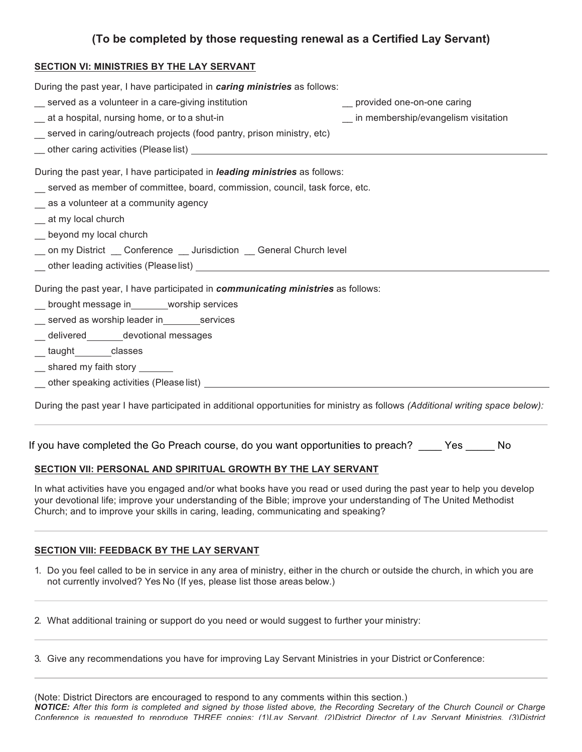# **(To be completed by those requesting renewal as a Certified Lay Servant)**

### **SECTION VI: MINISTRIES BY THE LAY SERVANT**

| During the past year, I have participated in caring ministries as follows:                                                     |                                     |
|--------------------------------------------------------------------------------------------------------------------------------|-------------------------------------|
| _ served as a volunteer in a care-giving institution                                                                           | provided one-on-one caring          |
| _ at a hospital, nursing home, or to a shut-in                                                                                 | in membership/evangelism visitation |
| served in caring/outreach projects (food pantry, prison ministry, etc)                                                         |                                     |
|                                                                                                                                |                                     |
| During the past year, I have participated in <i>leading ministries</i> as follows:                                             |                                     |
| _ served as member of committee, board, commission, council, task force, etc.                                                  |                                     |
| as a volunteer at a community agency                                                                                           |                                     |
| at my local church                                                                                                             |                                     |
| beyond my local church                                                                                                         |                                     |
| __ on my District __ Conference __ Jurisdiction __ General Church level                                                        |                                     |
|                                                                                                                                |                                     |
| During the past year, I have participated in communicating ministries as follows:                                              |                                     |
| _ brought message in _______ worship services                                                                                  |                                     |
| __ served as worship leader in _________ services                                                                              |                                     |
| __ delivered_______devotional messages                                                                                         |                                     |
| __ taught _______classes                                                                                                       |                                     |
| __ shared my faith story ______                                                                                                |                                     |
|                                                                                                                                |                                     |
| During the past year I have participated in additional opportunities for ministry as follows (Additional writing space below): |                                     |

If you have completed the Go Preach course, do you want opportunities to preach? The State Rough No

### **SECTION VII: PERSONAL AND SPIRITUAL GROWTH BY THE LAY SERVANT**

In what activities have you engaged and/or what books have you read or used during the past year to help you develop your devotional life; improve your understanding of the Bible; improve your understanding of The United Methodist Church; and to improve your skills in caring, leading, communicating and speaking?

### **SECTION VIII: FEEDBACK BY THE LAY SERVANT**

1. Do you feel called to be in service in any area of ministry, either in the church or outside the church, in which you are not currently involved? Yes No (If yes, please list those areas below.)

2. What additional training or support do you need or would suggest to further your ministry:

3. Give any recommendations you have for improving Lay Servant Ministries in your District orConference:

(Note: District Directors are encouraged to respond to any comments within this section.) *NOTICE: After this form is completed and signed by those listed above, the Recording Secretary of the Church Council or Charge Conference is requested to reproduce THREE copies: (1)Lay Servant, (2)District Director of Lay Servant Ministries, (3)District*